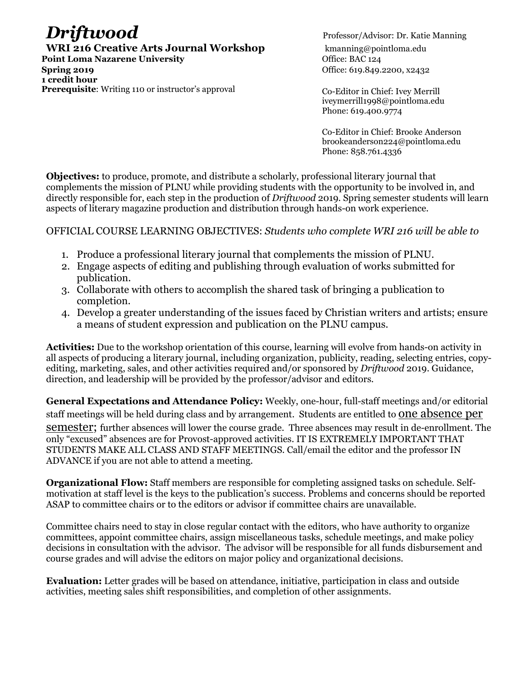# **Driftwood** Professor/Advisor: Dr. Katie Manning

**WRI 216 Creative Arts Journal Workshop** kmanning@pointloma.edu **Point Loma Nazarene University Communist Example 2014** Office: BAC 124

**Spring 2019 Office: 619.849.2200, x2432 1 credit hour Prerequisite**: Writing 110 or instructor's approval Co-Editor in Chief: Ivey Merrill

iveymerrill1998@pointloma.edu Phone: 619.400.9774

Co-Editor in Chief: Brooke Anderson brookeanderson224@pointloma.edu Phone: 858.761.4336

**Objectives:** to produce, promote, and distribute a scholarly, professional literary journal that complements the mission of PLNU while providing students with the opportunity to be involved in, and directly responsible for, each step in the production of *Driftwood* 2019. Spring semester students will learn aspects of literary magazine production and distribution through hands-on work experience.

# OFFICIAL COURSE LEARNING OBJECTIVES: *Students who complete WRI 216 will be able to*

- 1. Produce a professional literary journal that complements the mission of PLNU.
- 2. Engage aspects of editing and publishing through evaluation of works submitted for publication.
- 3. Collaborate with others to accomplish the shared task of bringing a publication to completion.
- 4. Develop a greater understanding of the issues faced by Christian writers and artists; ensure a means of student expression and publication on the PLNU campus.

**Activities:** Due to the workshop orientation of this course, learning will evolve from hands-on activity in all aspects of producing a literary journal, including organization, publicity, reading, selecting entries, copyediting, marketing, sales, and other activities required and/or sponsored by *Driftwood* 2019. Guidance, direction, and leadership will be provided by the professor/advisor and editors.

**General Expectations and Attendance Policy:** Weekly, one-hour, full-staff meetings and/or editorial staff meetings will be held during class and by arrangement. Students are entitled to one absence per

semester; further absences will lower the course grade. Three absences may result in de-enrollment. The only "excused" absences are for Provost-approved activities. IT IS EXTREMELY IMPORTANT THAT STUDENTS MAKE ALL CLASS AND STAFF MEETINGS. Call/email the editor and the professor IN ADVANCE if you are not able to attend a meeting.

**Organizational Flow:** Staff members are responsible for completing assigned tasks on schedule. Selfmotivation at staff level is the keys to the publication's success. Problems and concerns should be reported ASAP to committee chairs or to the editors or advisor if committee chairs are unavailable.

Committee chairs need to stay in close regular contact with the editors, who have authority to organize committees, appoint committee chairs, assign miscellaneous tasks, schedule meetings, and make policy decisions in consultation with the advisor. The advisor will be responsible for all funds disbursement and course grades and will advise the editors on major policy and organizational decisions.

**Evaluation:** Letter grades will be based on attendance, initiative, participation in class and outside activities, meeting sales shift responsibilities, and completion of other assignments.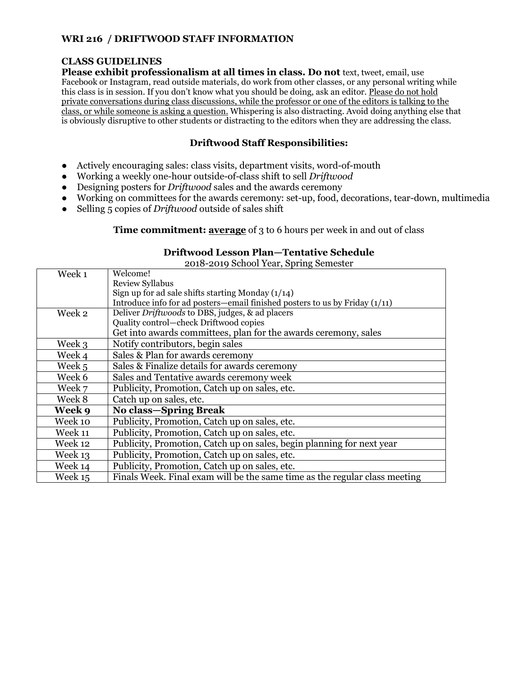# **WRI 216 / DRIFTWOOD STAFF INFORMATION**

# **CLASS GUIDELINES**

**Please exhibit professionalism at all times in class. Do not text, tweet, email, use** Facebook or Instagram, read outside materials, do work from other classes, or any personal writing while this class is in session. If you don't know what you should be doing, ask an editor. Please do not hold private conversations during class discussions, while the professor or one of the editors is talking to the class, or while someone is asking a question. Whispering is also distracting. Avoid doing anything else that is obviously disruptive to other students or distracting to the editors when they are addressing the class.

# **Driftwood Staff Responsibilities:**

- Actively encouraging sales: class visits, department visits, word-of-mouth
- Working a weekly one-hour outside-of-class shift to sell *Driftwood*
- Designing posters for *Driftwood* sales and the awards ceremony
- Working on committees for the awards ceremony: set-up, food, decorations, tear-down, multimedia
- Selling 5 copies of *Driftwood* outside of sales shift

#### **Time commitment: average** of 3 to 6 hours per week in and out of class

### Week 1 Welcome! Review Syllabus Sign up for ad sale shifts starting Monday  $(1/14)$ Introduce info for ad posters—email finished posters to us by Friday (1/11) Week 2 Deliver *Driftwoods* to DBS, judges, & ad placers Quality control—check Driftwood copies Get into awards committees, plan for the awards ceremony, sales Week 3 Notify contributors, begin sales Week 4 Sales & Plan for awards ceremony Week  $5$  Sales & Finalize details for awards ceremony Week 6 Sales and Tentative awards ceremony week Week 7 Publicity, Promotion, Catch up on sales, etc. Week 8 Catch up on sales, etc. **Week 9 No class—Spring Break** Week 10 Publicity, Promotion, Catch up on sales, etc.<br>Week 11 Publicity, Promotion, Catch up on sales, etc. Publicity, Promotion, Catch up on sales, etc. Week 12 Publicity, Promotion, Catch up on sales, begin planning for next year Week 13 Publicity, Promotion, Catch up on sales, etc. Week 14 Publicity, Promotion, Catch up on sales, etc. Week 15 Finals Week. Final exam will be the same time as the regular class meeting

# **Driftwood Lesson Plan—Tentative Schedule**

2018-2019 School Year, Spring Semester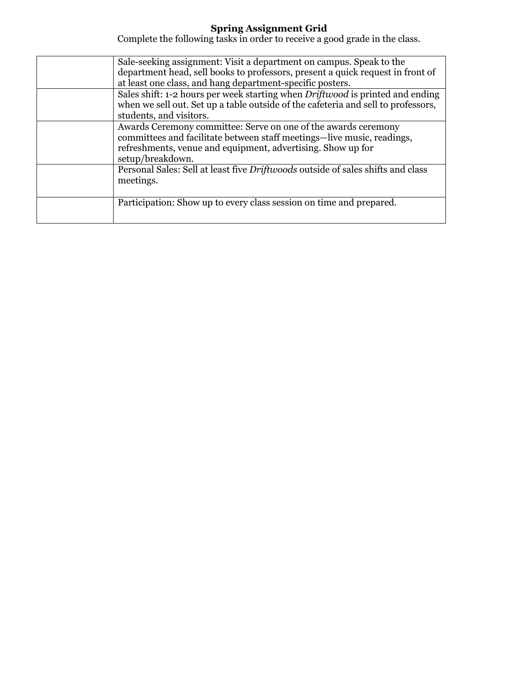# **Spring Assignment Grid**

Complete the following tasks in order to receive a good grade in the class.

| Sale-seeking assignment: Visit a department on campus. Speak to the<br>department head, sell books to professors, present a quick request in front of                                                                       |
|-----------------------------------------------------------------------------------------------------------------------------------------------------------------------------------------------------------------------------|
| at least one class, and hang department-specific posters.                                                                                                                                                                   |
| Sales shift: 1-2 hours per week starting when <i>Driftwood</i> is printed and ending<br>when we sell out. Set up a table outside of the cafeteria and sell to professors,<br>students, and visitors.                        |
| Awards Ceremony committee: Serve on one of the awards ceremony<br>committees and facilitate between staff meetings—live music, readings,<br>refreshments, venue and equipment, advertising. Show up for<br>setup/breakdown. |
| Personal Sales: Sell at least five <i>Driftwoods</i> outside of sales shifts and class<br>meetings.                                                                                                                         |
| Participation: Show up to every class session on time and prepared.                                                                                                                                                         |